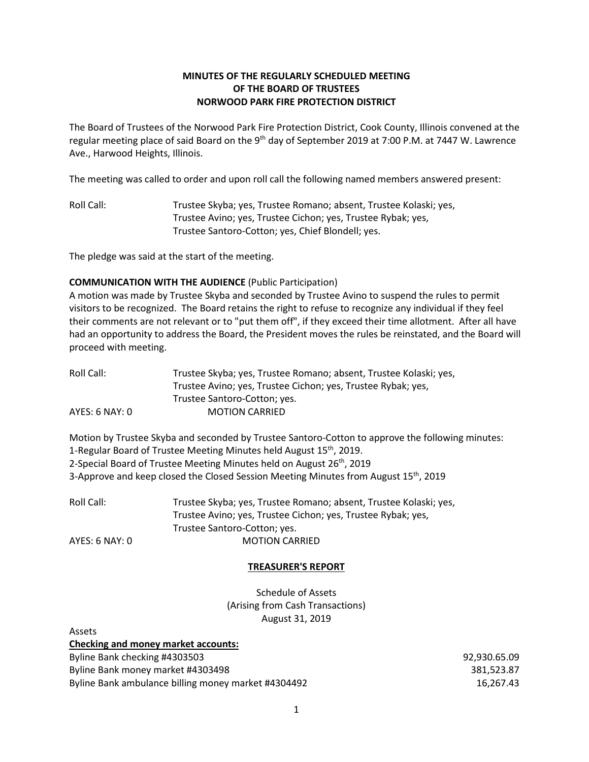# **MINUTES OF THE REGULARLY SCHEDULED MEETING OF THE BOARD OF TRUSTEES NORWOOD PARK FIRE PROTECTION DISTRICT**

The Board of Trustees of the Norwood Park Fire Protection District, Cook County, Illinois convened at the regular meeting place of said Board on the 9<sup>th</sup> day of September 2019 at 7:00 P.M. at 7447 W. Lawrence Ave., Harwood Heights, Illinois.

The meeting was called to order and upon roll call the following named members answered present:

Roll Call: Trustee Skyba; yes, Trustee Romano; absent, Trustee Kolaski; yes, Trustee Avino; yes, Trustee Cichon; yes, Trustee Rybak; yes, Trustee Santoro-Cotton; yes, Chief Blondell; yes.

The pledge was said at the start of the meeting.

**Accatc** 

### **COMMUNICATION WITH THE AUDIENCE** (Public Participation)

A motion was made by Trustee Skyba and seconded by Trustee Avino to suspend the rules to permit visitors to be recognized. The Board retains the right to refuse to recognize any individual if they feel their comments are not relevant or to "put them off", if they exceed their time allotment. After all have had an opportunity to address the Board, the President moves the rules be reinstated, and the Board will proceed with meeting.

| Roll Call:     | Trustee Skyba; yes, Trustee Romano; absent, Trustee Kolaski; yes, |
|----------------|-------------------------------------------------------------------|
|                | Trustee Avino; yes, Trustee Cichon; yes, Trustee Rybak; yes,      |
|                | Trustee Santoro-Cotton; yes.                                      |
| AYES: 6 NAY: 0 | <b>MOTION CARRIED</b>                                             |

Motion by Trustee Skyba and seconded by Trustee Santoro-Cotton to approve the following minutes: 1-Regular Board of Trustee Meeting Minutes held August 15<sup>th</sup>, 2019. 2-Special Board of Trustee Meeting Minutes held on August 26<sup>th</sup>, 2019 3-Approve and keep closed the Closed Session Meeting Minutes from August  $15<sup>th</sup>$ , 2019

Roll Call: Trustee Skyba; yes, Trustee Romano; absent, Trustee Kolaski; yes, Trustee Avino; yes, Trustee Cichon; yes, Trustee Rybak; yes, Trustee Santoro-Cotton; yes. AYES: 6 NAY: 0 MOTION CARRIED

### **TREASURER'S REPORT**

Schedule of Assets (Arising from Cash Transactions) August 31, 2019

| <b>Checking and money market accounts:</b>          |              |
|-----------------------------------------------------|--------------|
| Byline Bank checking #4303503                       | 92.930.65.09 |
| Byline Bank money market #4303498                   | 381.523.87   |
| Byline Bank ambulance billing money market #4304492 | 16.267.43    |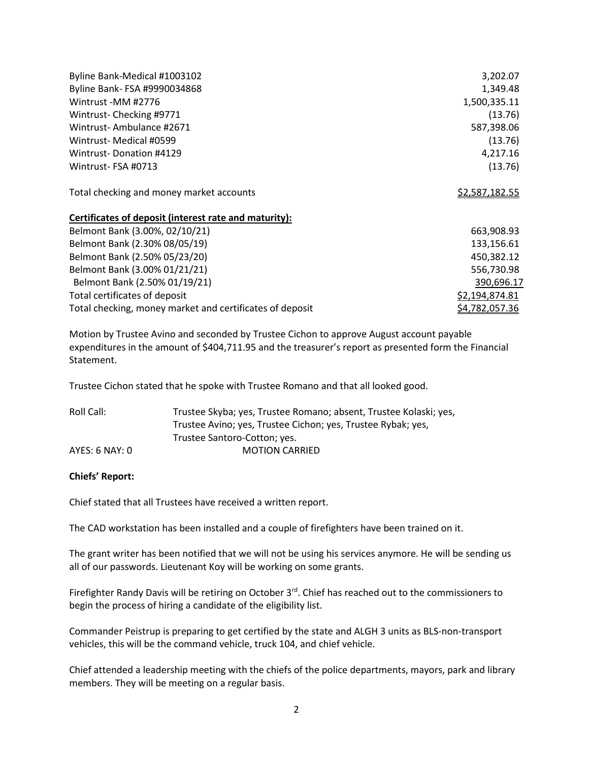| Byline Bank-Medical #1003102                             | 3,202.07       |
|----------------------------------------------------------|----------------|
| Byline Bank- FSA #9990034868                             | 1,349.48       |
| Wintrust -MM #2776                                       | 1,500,335.11   |
| Wintrust-Checking #9771                                  | (13.76)        |
| Wintrust-Ambulance #2671                                 | 587,398.06     |
| Wintrust- Medical #0599                                  | (13.76)        |
| Wintrust-Donation #4129                                  | 4,217.16       |
| Wintrust-FSA #0713                                       | (13.76)        |
| Total checking and money market accounts                 | \$2,587,182.55 |
| Certificates of deposit (interest rate and maturity):    |                |
| Belmont Bank (3.00%, 02/10/21)                           | 663,908.93     |
| Belmont Bank (2.30% 08/05/19)                            | 133,156.61     |
| Belmont Bank (2.50% 05/23/20)                            | 450,382.12     |
| Belmont Bank (3.00% 01/21/21)                            | 556,730.98     |
| Belmont Bank (2.50% 01/19/21)                            | 390,696.17     |
| Total certificates of deposit                            | \$2,194,874.81 |
| Total checking, money market and certificates of deposit | \$4,782,057.36 |

Motion by Trustee Avino and seconded by Trustee Cichon to approve August account payable expenditures in the amount of \$404,711.95 and the treasurer's report as presented form the Financial Statement.

Trustee Cichon stated that he spoke with Trustee Romano and that all looked good.

| Roll Call:     | Trustee Skyba; yes, Trustee Romano; absent, Trustee Kolaski; yes, |
|----------------|-------------------------------------------------------------------|
|                | Trustee Avino; yes, Trustee Cichon; yes, Trustee Rybak; yes,      |
|                | Trustee Santoro-Cotton; yes.                                      |
| AYES: 6 NAY: 0 | <b>MOTION CARRIED</b>                                             |

### **Chiefs' Report:**

Chief stated that all Trustees have received a written report.

The CAD workstation has been installed and a couple of firefighters have been trained on it.

The grant writer has been notified that we will not be using his services anymore. He will be sending us all of our passwords. Lieutenant Koy will be working on some grants.

Firefighter Randy Davis will be retiring on October 3<sup>rd</sup>. Chief has reached out to the commissioners to begin the process of hiring a candidate of the eligibility list.

Commander Peistrup is preparing to get certified by the state and ALGH 3 units as BLS-non-transport vehicles, this will be the command vehicle, truck 104, and chief vehicle.

Chief attended a leadership meeting with the chiefs of the police departments, mayors, park and library members. They will be meeting on a regular basis.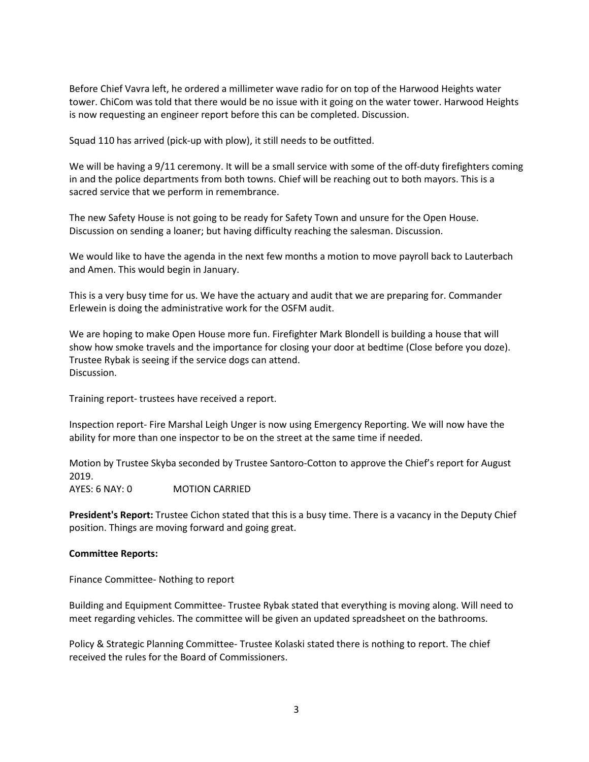Before Chief Vavra left, he ordered a millimeter wave radio for on top of the Harwood Heights water tower. ChiCom was told that there would be no issue with it going on the water tower. Harwood Heights is now requesting an engineer report before this can be completed. Discussion.

Squad 110 has arrived (pick-up with plow), it still needs to be outfitted.

We will be having a 9/11 ceremony. It will be a small service with some of the off-duty firefighters coming in and the police departments from both towns. Chief will be reaching out to both mayors. This is a sacred service that we perform in remembrance.

The new Safety House is not going to be ready for Safety Town and unsure for the Open House. Discussion on sending a loaner; but having difficulty reaching the salesman. Discussion.

We would like to have the agenda in the next few months a motion to move payroll back to Lauterbach and Amen. This would begin in January.

This is a very busy time for us. We have the actuary and audit that we are preparing for. Commander Erlewein is doing the administrative work for the OSFM audit.

We are hoping to make Open House more fun. Firefighter Mark Blondell is building a house that will show how smoke travels and the importance for closing your door at bedtime (Close before you doze). Trustee Rybak is seeing if the service dogs can attend. Discussion.

Training report- trustees have received a report.

Inspection report- Fire Marshal Leigh Unger is now using Emergency Reporting. We will now have the ability for more than one inspector to be on the street at the same time if needed.

Motion by Trustee Skyba seconded by Trustee Santoro-Cotton to approve the Chief's report for August 2019.

AYES: 6 NAY: 0 MOTION CARRIED

**President's Report:** Trustee Cichon stated that this is a busy time. There is a vacancy in the Deputy Chief position. Things are moving forward and going great.

### **Committee Reports:**

Finance Committee- Nothing to report

Building and Equipment Committee- Trustee Rybak stated that everything is moving along. Will need to meet regarding vehicles. The committee will be given an updated spreadsheet on the bathrooms.

Policy & Strategic Planning Committee- Trustee Kolaski stated there is nothing to report. The chief received the rules for the Board of Commissioners.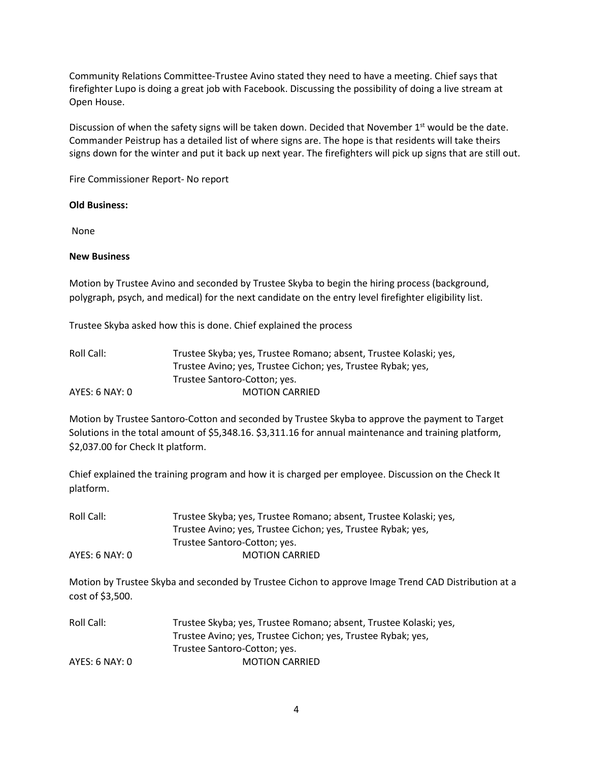Community Relations Committee-Trustee Avino stated they need to have a meeting. Chief says that firefighter Lupo is doing a great job with Facebook. Discussing the possibility of doing a live stream at Open House.

Discussion of when the safety signs will be taken down. Decided that November  $1<sup>st</sup>$  would be the date. Commander Peistrup has a detailed list of where signs are. The hope is that residents will take theirs signs down for the winter and put it back up next year. The firefighters will pick up signs that are still out.

Fire Commissioner Report- No report

# **Old Business:**

None

# **New Business**

Motion by Trustee Avino and seconded by Trustee Skyba to begin the hiring process (background, polygraph, psych, and medical) for the next candidate on the entry level firefighter eligibility list.

Trustee Skyba asked how this is done. Chief explained the process

| Roll Call:     | Trustee Skyba; yes, Trustee Romano; absent, Trustee Kolaski; yes, |
|----------------|-------------------------------------------------------------------|
|                | Trustee Avino; yes, Trustee Cichon; yes, Trustee Rybak; yes,      |
|                | Trustee Santoro-Cotton; yes.                                      |
| AYES: 6 NAY: 0 | <b>MOTION CARRIED</b>                                             |

Motion by Trustee Santoro-Cotton and seconded by Trustee Skyba to approve the payment to Target Solutions in the total amount of \$5,348.16. \$3,311.16 for annual maintenance and training platform, \$2,037.00 for Check It platform.

Chief explained the training program and how it is charged per employee. Discussion on the Check It platform.

| Roll Call:         | Trustee Skyba; yes, Trustee Romano; absent, Trustee Kolaski; yes, |
|--------------------|-------------------------------------------------------------------|
|                    | Trustee Avino; yes, Trustee Cichon; yes, Trustee Rybak; yes,      |
|                    | Trustee Santoro-Cotton; yes.                                      |
| $AYES: 6$ NAY: $0$ | <b>MOTION CARRIED</b>                                             |

Motion by Trustee Skyba and seconded by Trustee Cichon to approve Image Trend CAD Distribution at a cost of \$3,500.

| Roll Call:     | Trustee Skyba; yes, Trustee Romano; absent, Trustee Kolaski; yes, |
|----------------|-------------------------------------------------------------------|
|                | Trustee Avino; yes, Trustee Cichon; yes, Trustee Rybak; yes,      |
|                | Trustee Santoro-Cotton; yes.                                      |
| AYES: 6 NAY: 0 | <b>MOTION CARRIED</b>                                             |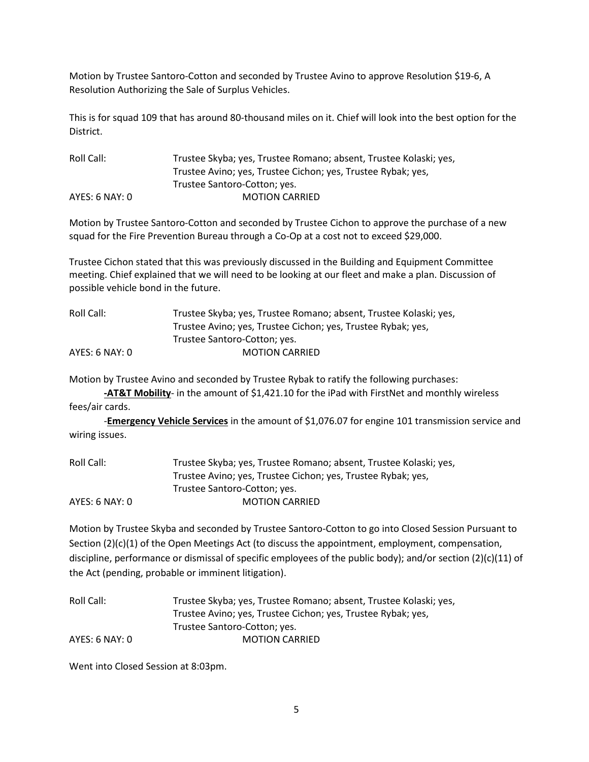Motion by Trustee Santoro-Cotton and seconded by Trustee Avino to approve Resolution \$19-6, A Resolution Authorizing the Sale of Surplus Vehicles.

This is for squad 109 that has around 80-thousand miles on it. Chief will look into the best option for the District.

| Roll Call:     | Trustee Skyba; yes, Trustee Romano; absent, Trustee Kolaski; yes, |
|----------------|-------------------------------------------------------------------|
|                | Trustee Avino; yes, Trustee Cichon; yes, Trustee Rybak; yes,      |
|                | Trustee Santoro-Cotton; yes.                                      |
| AYES: 6 NAY: 0 | <b>MOTION CARRIED</b>                                             |

Motion by Trustee Santoro-Cotton and seconded by Trustee Cichon to approve the purchase of a new squad for the Fire Prevention Bureau through a Co-Op at a cost not to exceed \$29,000.

Trustee Cichon stated that this was previously discussed in the Building and Equipment Committee meeting. Chief explained that we will need to be looking at our fleet and make a plan. Discussion of possible vehicle bond in the future.

| Roll Call:     | Trustee Skyba; yes, Trustee Romano; absent, Trustee Kolaski; yes, |
|----------------|-------------------------------------------------------------------|
|                | Trustee Avino; yes, Trustee Cichon; yes, Trustee Rybak; yes,      |
|                | Trustee Santoro-Cotton; yes.                                      |
| AYES: 6 NAY: 0 | <b>MOTION CARRIED</b>                                             |

Motion by Trustee Avino and seconded by Trustee Rybak to ratify the following purchases:

**-AT&T Mobility**- in the amount of \$1,421.10 for the iPad with FirstNet and monthly wireless fees/air cards.

-**Emergency Vehicle Services** in the amount of \$1,076.07 for engine 101 transmission service and wiring issues.

| Roll Call:     | Trustee Skyba; yes, Trustee Romano; absent, Trustee Kolaski; yes, |
|----------------|-------------------------------------------------------------------|
|                | Trustee Avino; yes, Trustee Cichon; yes, Trustee Rybak; yes,      |
|                | Trustee Santoro-Cotton; yes.                                      |
| AYES: 6 NAY: 0 | <b>MOTION CARRIED</b>                                             |

Motion by Trustee Skyba and seconded by Trustee Santoro-Cotton to go into Closed Session Pursuant to Section (2)(c)(1) of the Open Meetings Act (to discuss the appointment, employment, compensation, discipline, performance or dismissal of specific employees of the public body); and/or section (2)(c)(11) of the Act (pending, probable or imminent litigation).

Roll Call: Trustee Skyba; yes, Trustee Romano; absent, Trustee Kolaski; yes, Trustee Avino; yes, Trustee Cichon; yes, Trustee Rybak; yes, Trustee Santoro-Cotton; yes. AYES: 6 NAY: 0 MOTION CARRIED

Went into Closed Session at 8:03pm.